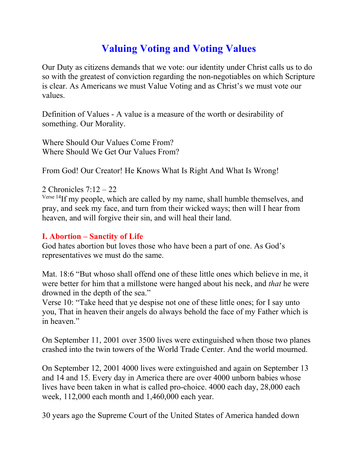## **Valuing Voting and Voting Values**

Our Duty as citizens demands that we vote: our identity under Christ calls us to do so with the greatest of conviction regarding the non-negotiables on which Scripture is clear. As Americans we must Value Voting and as Christ's we must vote our values.

Definition of Values - A value is a measure of the worth or desirability of something. Our Morality.

Where Should Our Values Come From? Where Should We Get Our Values From?

From God! Our Creator! He Knows What Is Right And What Is Wrong!

2 Chronicles 7:12 – 22

Verse 14If my people, which are called by my name, shall humble themselves, and pray, and seek my face, and turn from their wicked ways; then will I hear from heaven, and will forgive their sin, and will heal their land.

## **I. Abortion – Sanctity of Life**

God hates abortion but loves those who have been a part of one. As God's representatives we must do the same.

Mat. 18:6 "But whoso shall offend one of these little ones which believe in me, it were better for him that a millstone were hanged about his neck, and *that* he were drowned in the depth of the sea."

Verse 10: "Take heed that ye despise not one of these little ones; for I say unto you, That in heaven their angels do always behold the face of my Father which is in heaven."

On September 11, 2001 over 3500 lives were extinguished when those two planes crashed into the twin towers of the World Trade Center. And the world mourned.

On September 12, 2001 4000 lives were extinguished and again on September 13 and 14 and 15. Every day in America there are over 4000 unborn babies whose lives have been taken in what is called pro-choice. 4000 each day, 28,000 each week, 112,000 each month and 1,460,000 each year.

30 years ago the Supreme Court of the United States of America handed down